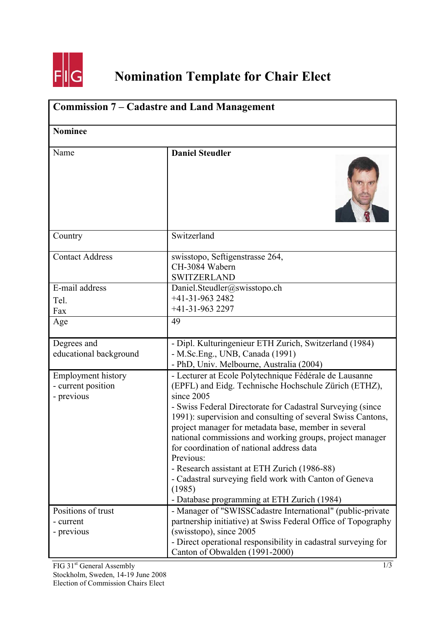

## **Nomination Template for Chair Elect**

| <b>Commission 7 – Cadastre and Land Management</b>            |                                                                                                                                                                                                                                                                                                                                                                                                                                                                                                                                                                                                              |  |
|---------------------------------------------------------------|--------------------------------------------------------------------------------------------------------------------------------------------------------------------------------------------------------------------------------------------------------------------------------------------------------------------------------------------------------------------------------------------------------------------------------------------------------------------------------------------------------------------------------------------------------------------------------------------------------------|--|
| <b>Nominee</b>                                                |                                                                                                                                                                                                                                                                                                                                                                                                                                                                                                                                                                                                              |  |
| Name                                                          | <b>Daniel Steudler</b>                                                                                                                                                                                                                                                                                                                                                                                                                                                                                                                                                                                       |  |
| Country                                                       | Switzerland                                                                                                                                                                                                                                                                                                                                                                                                                                                                                                                                                                                                  |  |
| <b>Contact Address</b>                                        | swisstopo, Seftigenstrasse 264,<br>CH-3084 Wabern<br><b>SWITZERLAND</b>                                                                                                                                                                                                                                                                                                                                                                                                                                                                                                                                      |  |
| E-mail address<br>Tel.<br>Fax                                 | Daniel.Steudler@swisstopo.ch<br>$+41-31-9632482$<br>$+41-31-9632297$                                                                                                                                                                                                                                                                                                                                                                                                                                                                                                                                         |  |
| Age                                                           | 49                                                                                                                                                                                                                                                                                                                                                                                                                                                                                                                                                                                                           |  |
| Degrees and<br>educational background                         | - Dipl. Kulturingenieur ETH Zurich, Switzerland (1984)<br>- M.Sc.Eng., UNB, Canada (1991)<br>- PhD, Univ. Melbourne, Australia (2004)                                                                                                                                                                                                                                                                                                                                                                                                                                                                        |  |
| <b>Employment history</b><br>- current position<br>- previous | - Lecturer at Ecole Polytechnique Fédérale de Lausanne<br>(EPFL) and Eidg. Technische Hochschule Zürich (ETHZ),<br>since 2005<br>- Swiss Federal Directorate for Cadastral Surveying (since)<br>1991): supervision and consulting of several Swiss Cantons,<br>project manager for metadata base, member in several<br>national commissions and working groups, project manager<br>for coordination of national address data<br>Previous:<br>- Research assistant at ETH Zurich (1986-88)<br>- Cadastral surveying field work with Canton of Geneva<br>(1985)<br>- Database programming at ETH Zurich (1984) |  |
| Positions of trust<br>- current<br>- previous                 | - Manager of "SWISSCadastre International" (public-private<br>partnership initiative) at Swiss Federal Office of Topography<br>(swisstopo), since 2005<br>- Direct operational responsibility in cadastral surveying for<br>Canton of Obwalden (1991-2000)                                                                                                                                                                                                                                                                                                                                                   |  |

FIG 31<sup>st</sup> General Assembly Stockholm, Sweden, 14-19 June 2008 Election of Commission Chairs Elect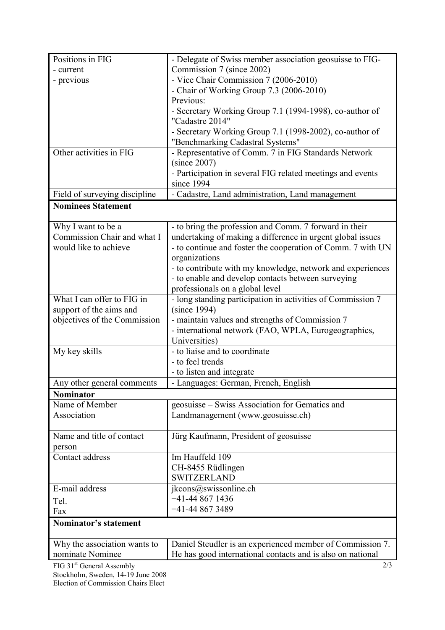| Positions in FIG              | - Delegate of Swiss member association geosuisse to FIG-    |
|-------------------------------|-------------------------------------------------------------|
| - current                     | Commission 7 (since 2002)                                   |
| - previous                    | - Vice Chair Commission 7 (2006-2010)                       |
|                               | - Chair of Working Group 7.3 (2006-2010)                    |
|                               | Previous:                                                   |
|                               | - Secretary Working Group 7.1 (1994-1998), co-author of     |
|                               | "Cadastre 2014"                                             |
|                               | - Secretary Working Group 7.1 (1998-2002), co-author of     |
|                               | "Benchmarking Cadastral Systems"                            |
| Other activities in FIG       | - Representative of Comm. 7 in FIG Standards Network        |
|                               | (since 2007)                                                |
|                               | - Participation in several FIG related meetings and events  |
|                               | since 1994                                                  |
| Field of surveying discipline | - Cadastre, Land administration, Land management            |
| <b>Nominees Statement</b>     |                                                             |
| Why I want to be a            | - to bring the profession and Comm. 7 forward in their      |
| Commission Chair and what I   | undertaking of making a difference in urgent global issues  |
| would like to achieve         | - to continue and foster the cooperation of Comm. 7 with UN |
|                               | organizations                                               |
|                               | - to contribute with my knowledge, network and experiences  |
|                               | - to enable and develop contacts between surveying          |
|                               | professionals on a global level                             |
| What I can offer to FIG in    | - long standing participation in activities of Commission 7 |
| support of the aims and       | (since 1994)                                                |
| objectives of the Commission  | - maintain values and strengths of Commission 7             |
|                               | - international network (FAO, WPLA, Eurogeographics,        |
|                               | Universities)                                               |
| My key skills                 | - to liaise and to coordinate                               |
|                               | - to feel trends                                            |
|                               | - to listen and integrate                                   |
| Any other general comments    | - Languages: German, French, English                        |
| <b>Nominator</b>              |                                                             |
| Name of Member                | geosuisse – Swiss Association for Gematics and              |
| Association                   | Landmanagement (www.geosuisse.ch)                           |
| Name and title of contact     | Jürg Kaufmann, President of geosuisse                       |
| person                        |                                                             |
| Contact address               | Im Hauffeld 109                                             |
|                               | CH-8455 Rüdlingen                                           |
|                               | <b>SWITZERLAND</b>                                          |
| E-mail address                | jkcons@swissonline.ch                                       |
| Tel.                          | $+41-448671436$                                             |
| Fax                           | +41-44 867 3489                                             |
| <b>Nominator's statement</b>  |                                                             |
| Why the association wants to  | Daniel Steudler is an experienced member of Commission 7.   |
| nominate Nominee              | He has good international contacts and is also on national  |
| $FIG 31st General A exemplly$ | 2/3                                                         |

FIG 31<sup>st</sup> General Assembly Stockholm, Sweden, 14-19 June 2008 Election of Commission Chairs Elect